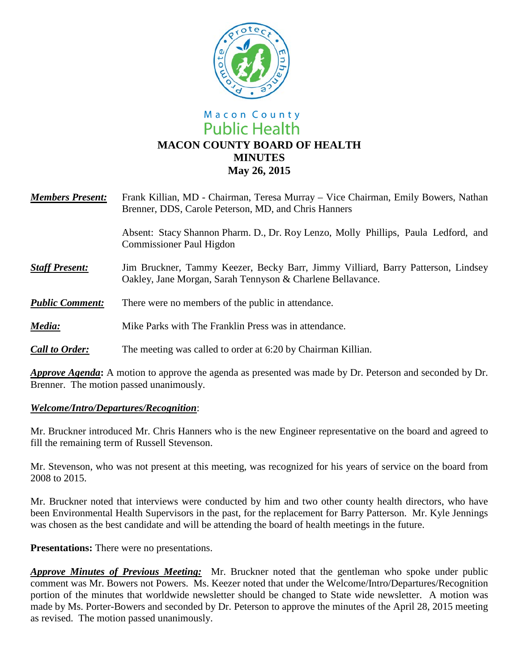

# Macon County **Public Health MACON COUNTY BOARD OF HEALTH MINUTES May 26, 2015**

| <b>Members Present:</b> | Frank Killian, MD - Chairman, Teresa Murray – Vice Chairman, Emily Bowers, Nathan<br>Brenner, DDS, Carole Peterson, MD, and Chris Hanners      |
|-------------------------|------------------------------------------------------------------------------------------------------------------------------------------------|
|                         | Absent: Stacy Shannon Pharm. D., Dr. Roy Lenzo, Molly Phillips, Paula Ledford, and<br><b>Commissioner Paul Higdon</b>                          |
| <b>Staff Present:</b>   | Jim Bruckner, Tammy Keezer, Becky Barr, Jimmy Villiard, Barry Patterson, Lindsey<br>Oakley, Jane Morgan, Sarah Tennyson & Charlene Bellavance. |
| <b>Public Comment:</b>  | There were no members of the public in attendance.                                                                                             |
| Media:                  | Mike Parks with The Franklin Press was in attendance.                                                                                          |
| <b>Call to Order:</b>   | The meeting was called to order at 6:20 by Chairman Killian.                                                                                   |

*Approve Agenda***:** A motion to approve the agenda as presented was made by Dr. Peterson and seconded by Dr. Brenner. The motion passed unanimously.

## *Welcome/Intro/Departures/Recognition*:

Mr. Bruckner introduced Mr. Chris Hanners who is the new Engineer representative on the board and agreed to fill the remaining term of Russell Stevenson.

Mr. Stevenson, who was not present at this meeting, was recognized for his years of service on the board from 2008 to 2015.

Mr. Bruckner noted that interviews were conducted by him and two other county health directors, who have been Environmental Health Supervisors in the past, for the replacement for Barry Patterson. Mr. Kyle Jennings was chosen as the best candidate and will be attending the board of health meetings in the future.

**Presentations:** There were no presentations.

*Approve Minutes of Previous Meeting:* Mr. Bruckner noted that the gentleman who spoke under public comment was Mr. Bowers not Powers. Ms. Keezer noted that under the Welcome/Intro/Departures/Recognition portion of the minutes that worldwide newsletter should be changed to State wide newsletter. A motion was made by Ms. Porter-Bowers and seconded by Dr. Peterson to approve the minutes of the April 28, 2015 meeting as revised. The motion passed unanimously.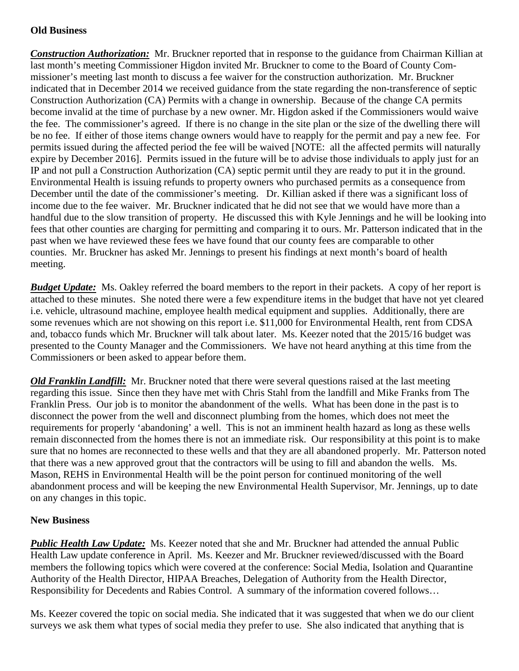## **Old Business**

*Construction Authorization:* Mr. Bruckner reported that in response to the guidance from Chairman Killian at last month's meeting Commissioner Higdon invited Mr. Bruckner to come to the Board of County Commissioner's meeting last month to discuss a fee waiver for the construction authorization. Mr. Bruckner indicated that in December 2014 we received guidance from the state regarding the non-transference of septic Construction Authorization (CA) Permits with a change in ownership. Because of the change CA permits become invalid at the time of purchase by a new owner. Mr. Higdon asked if the Commissioners would waive the fee. The commissioner's agreed. If there is no change in the site plan or the size of the dwelling there will be no fee. If either of those items change owners would have to reapply for the permit and pay a new fee. For permits issued during the affected period the fee will be waived [NOTE: all the affected permits will naturally expire by December 2016]. Permits issued in the future will be to advise those individuals to apply just for an IP and not pull a Construction Authorization (CA) septic permit until they are ready to put it in the ground. Environmental Health is issuing refunds to property owners who purchased permits as a consequence from December until the date of the commissioner's meeting. Dr. Killian asked if there was a significant loss of income due to the fee waiver. Mr. Bruckner indicated that he did not see that we would have more than a handful due to the slow transition of property. He discussed this with Kyle Jennings and he will be looking into fees that other counties are charging for permitting and comparing it to ours. Mr. Patterson indicated that in the past when we have reviewed these fees we have found that our county fees are comparable to other counties. Mr. Bruckner has asked Mr. Jennings to present his findings at next month's board of health meeting.

*Budget Update:* Ms. Oakley referred the board members to the report in their packets. A copy of her report is attached to these minutes. She noted there were a few expenditure items in the budget that have not yet cleared i.e. vehicle, ultrasound machine, employee health medical equipment and supplies. Additionally, there are some revenues which are not showing on this report i.e. \$11,000 for Environmental Health, rent from CDSA and, tobacco funds which Mr. Bruckner will talk about later. Ms. Keezer noted that the 2015/16 budget was presented to the County Manager and the Commissioners. We have not heard anything at this time from the Commissioners or been asked to appear before them.

*Old Franklin Landfill:* Mr. Bruckner noted that there were several questions raised at the last meeting regarding this issue. Since then they have met with Chris Stahl from the landfill and Mike Franks from The Franklin Press. Our job is to monitor the abandonment of the wells. What has been done in the past is to disconnect the power from the well and disconnect plumbing from the homes, which does not meet the requirements for properly 'abandoning' a well. This is not an imminent health hazard as long as these wells remain disconnected from the homes there is not an immediate risk. Our responsibility at this point is to make sure that no homes are reconnected to these wells and that they are all abandoned properly. Mr. Patterson noted that there was a new approved grout that the contractors will be using to fill and abandon the wells. Ms. Mason, REHS in Environmental Health will be the point person for continued monitoring of the well abandonment process and will be keeping the new Environmental Health Supervisor, Mr. Jennings, up to date on any changes in this topic.

#### **New Business**

*Public Health Law Update:* Ms. Keezer noted that she and Mr. Bruckner had attended the annual Public Health Law update conference in April. Ms. Keezer and Mr. Bruckner reviewed/discussed with the Board members the following topics which were covered at the conference: Social Media, Isolation and Quarantine Authority of the Health Director, HIPAA Breaches, Delegation of Authority from the Health Director, Responsibility for Decedents and Rabies Control. A summary of the information covered follows…

Ms. Keezer covered the topic on social media. She indicated that it was suggested that when we do our client surveys we ask them what types of social media they prefer to use. She also indicated that anything that is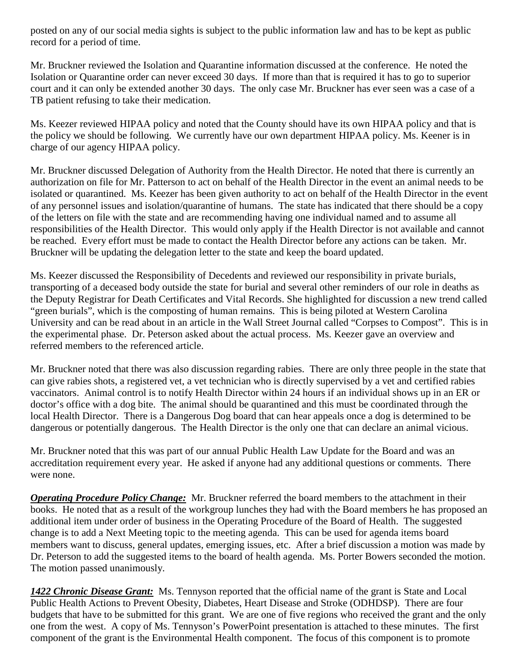posted on any of our social media sights is subject to the public information law and has to be kept as public record for a period of time.

Mr. Bruckner reviewed the Isolation and Quarantine information discussed at the conference. He noted the Isolation or Quarantine order can never exceed 30 days. If more than that is required it has to go to superior court and it can only be extended another 30 days. The only case Mr. Bruckner has ever seen was a case of a TB patient refusing to take their medication.

Ms. Keezer reviewed HIPAA policy and noted that the County should have its own HIPAA policy and that is the policy we should be following. We currently have our own department HIPAA policy. Ms. Keener is in charge of our agency HIPAA policy.

Mr. Bruckner discussed Delegation of Authority from the Health Director. He noted that there is currently an authorization on file for Mr. Patterson to act on behalf of the Health Director in the event an animal needs to be isolated or quarantined. Ms. Keezer has been given authority to act on behalf of the Health Director in the event of any personnel issues and isolation/quarantine of humans. The state has indicated that there should be a copy of the letters on file with the state and are recommending having one individual named and to assume all responsibilities of the Health Director. This would only apply if the Health Director is not available and cannot be reached. Every effort must be made to contact the Health Director before any actions can be taken. Mr. Bruckner will be updating the delegation letter to the state and keep the board updated.

Ms. Keezer discussed the Responsibility of Decedents and reviewed our responsibility in private burials, transporting of a deceased body outside the state for burial and several other reminders of our role in deaths as the Deputy Registrar for Death Certificates and Vital Records. She highlighted for discussion a new trend called "green burials", which is the composting of human remains. This is being piloted at Western Carolina University and can be read about in an article in the Wall Street Journal called "Corpses to Compost". This is in the experimental phase. Dr. Peterson asked about the actual process. Ms. Keezer gave an overview and referred members to the referenced article.

Mr. Bruckner noted that there was also discussion regarding rabies. There are only three people in the state that can give rabies shots, a registered vet, a vet technician who is directly supervised by a vet and certified rabies vaccinators. Animal control is to notify Health Director within 24 hours if an individual shows up in an ER or doctor's office with a dog bite. The animal should be quarantined and this must be coordinated through the local Health Director. There is a Dangerous Dog board that can hear appeals once a dog is determined to be dangerous or potentially dangerous. The Health Director is the only one that can declare an animal vicious.

Mr. Bruckner noted that this was part of our annual Public Health Law Update for the Board and was an accreditation requirement every year. He asked if anyone had any additional questions or comments. There were none.

*Operating Procedure Policy Change:* Mr. Bruckner referred the board members to the attachment in their books. He noted that as a result of the workgroup lunches they had with the Board members he has proposed an additional item under order of business in the Operating Procedure of the Board of Health. The suggested change is to add a Next Meeting topic to the meeting agenda. This can be used for agenda items board members want to discuss, general updates, emerging issues, etc. After a brief discussion a motion was made by Dr. Peterson to add the suggested items to the board of health agenda. Ms. Porter Bowers seconded the motion. The motion passed unanimously.

*1422 Chronic Disease Grant:* Ms. Tennyson reported that the official name of the grant is State and Local Public Health Actions to Prevent Obesity, Diabetes, Heart Disease and Stroke (ODHDSP). There are four budgets that have to be submitted for this grant. We are one of five regions who received the grant and the only one from the west. A copy of Ms. Tennyson's PowerPoint presentation is attached to these minutes. The first component of the grant is the Environmental Health component. The focus of this component is to promote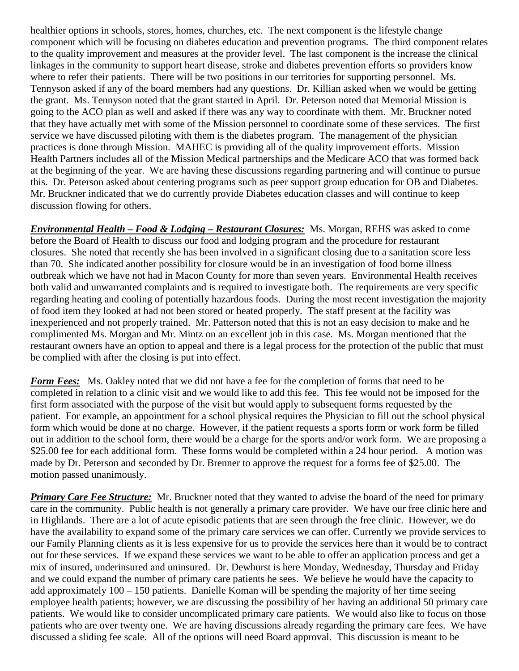healthier options in schools, stores, homes, churches, etc. The next component is the lifestyle change component which will be focusing on diabetes education and prevention programs. The third component relates to the quality improvement and measures at the provider level. The last component is the increase the clinical linkages in the community to support heart disease, stroke and diabetes prevention efforts so providers know where to refer their patients. There will be two positions in our territories for supporting personnel. Ms. Tennyson asked if any of the board members had any questions. Dr. Killian asked when we would be getting the grant. Ms. Tennyson noted that the grant started in April. Dr. Peterson noted that Memorial Mission is going to the ACO plan as well and asked if there was any way to coordinate with them. Mr. Bruckner noted that they have actually met with some of the Mission personnel to coordinate some of these services. The first service we have discussed piloting with them is the diabetes program. The management of the physician practices is done through Mission. MAHEC is providing all of the quality improvement efforts. Mission Health Partners includes all of the Mission Medical partnerships and the Medicare ACO that was formed back at the beginning of the year. We are having these discussions regarding partnering and will continue to pursue this. Dr. Peterson asked about centering programs such as peer support group education for OB and Diabetes. Mr. Bruckner indicated that we do currently provide Diabetes education classes and will continue to keep discussion flowing for others.

*Environmental Health – Food & Lodging – Restaurant Closures:* Ms. Morgan, REHS was asked to come before the Board of Health to discuss our food and lodging program and the procedure for restaurant closures. She noted that recently she has been involved in a significant closing due to a sanitation score less than 70. She indicated another possibility for closure would be in an investigation of food borne illness outbreak which we have not had in Macon County for more than seven years. Environmental Health receives both valid and unwarranted complaints and is required to investigate both. The requirements are very specific regarding heating and cooling of potentially hazardous foods. During the most recent investigation the majority of food item they looked at had not been stored or heated properly. The staff present at the facility was inexperienced and not properly trained. Mr. Patterson noted that this is not an easy decision to make and he complimented Ms. Morgan and Mr. Mintz on an excellent job in this case. Ms. Morgan mentioned that the restaurant owners have an option to appeal and there is a legal process for the protection of the public that must be complied with after the closing is put into effect.

*Form Fees:* Ms. Oakley noted that we did not have a fee for the completion of forms that need to be completed in relation to a clinic visit and we would like to add this fee. This fee would not be imposed for the first form associated with the purpose of the visit but would apply to subsequent forms requested by the patient. For example, an appointment for a school physical requires the Physician to fill out the school physical form which would be done at no charge. However, if the patient requests a sports form or work form be filled out in addition to the school form, there would be a charge for the sports and/or work form. We are proposing a \$25.00 fee for each additional form. These forms would be completed within a 24 hour period. A motion was made by Dr. Peterson and seconded by Dr. Brenner to approve the request for a forms fee of \$25.00. The motion passed unanimously.

**Primary Care Fee Structure:** Mr. Bruckner noted that they wanted to advise the board of the need for primary care in the community. Public health is not generally a primary care provider. We have our free clinic here and in Highlands. There are a lot of acute episodic patients that are seen through the free clinic. However, we do have the availability to expand some of the primary care services we can offer. Currently we provide services to our Family Planning clients as it is less expensive for us to provide the services here than it would be to contract out for these services. If we expand these services we want to be able to offer an application process and get a mix of insured, underinsured and uninsured. Dr. Dewhurst is here Monday, Wednesday, Thursday and Friday and we could expand the number of primary care patients he sees. We believe he would have the capacity to add approximately 100 – 150 patients. Danielle Koman will be spending the majority of her time seeing employee health patients; however, we are discussing the possibility of her having an additional 50 primary care patients. We would like to consider uncomplicated primary care patients. We would also like to focus on those patients who are over twenty one. We are having discussions already regarding the primary care fees. We have discussed a sliding fee scale. All of the options will need Board approval. This discussion is meant to be